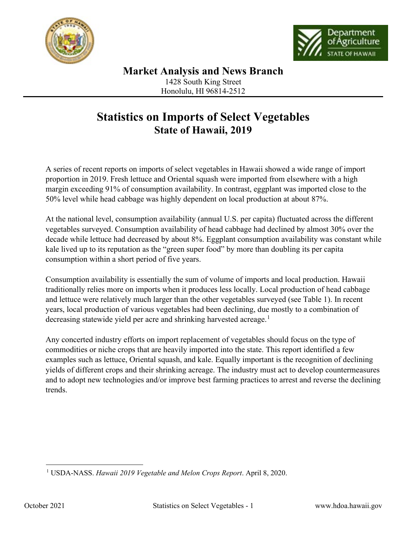



## **Statistics on Imports of Select Vegetables State of Hawaii, 2019**

A series of recent reports on imports of select vegetables in Hawaii showed a wide range of import proportion in 2019. Fresh lettuce and Oriental squash were imported from elsewhere with a high margin exceeding 91% of consumption availability. In contrast, eggplant was imported close to the 50% level while head cabbage was highly dependent on local production at about 87%.

At the national level, consumption availability (annual U.S. per capita) fluctuated across the different vegetables surveyed. Consumption availability of head cabbage had declined by almost 30% over the decade while lettuce had decreased by about 8%. Eggplant consumption availability was constant while kale lived up to its reputation as the "green super food" by more than doubling its per capita consumption within a short period of five years.

Consumption availability is essentially the sum of volume of imports and local production. Hawaii traditionally relies more on imports when it produces less locally. Local production of head cabbage and lettuce were relatively much larger than the other vegetables surveyed (see Table 1). In recent years, local production of various vegetables had been declining, due mostly to a combination of decreasing statewide yield per acre and shrinking harvested acreage.<sup>[1](#page-0-0)</sup>

Any concerted industry efforts on import replacement of vegetables should focus on the type of commodities or niche crops that are heavily imported into the state. This report identified a few examples such as lettuce, Oriental squash, and kale. Equally important is the recognition of declining yields of different crops and their shrinking acreage. The industry must act to develop countermeasures and to adopt new technologies and/or improve best farming practices to arrest and reverse the declining trends.

<span id="page-0-0"></span> <sup>1</sup> USDA-NASS. *Hawaii 2019 Vegetable and Melon Crops Report*. April 8, 2020.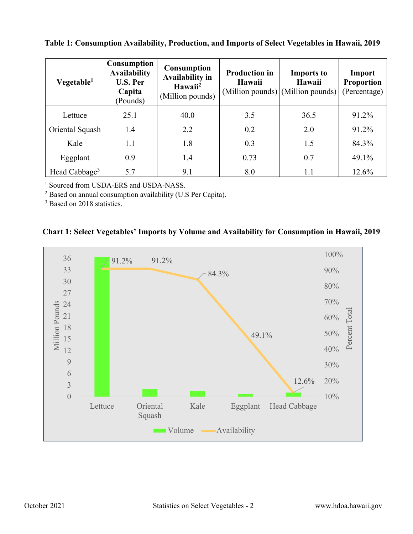| Vegetable <sup>1</sup>    | Consumption<br><b>Availability</b><br><b>U.S. Per</b><br>Capita<br>(Pounds) | <b>Consumption</b><br>Availability in<br>Hawaii <sup>2</sup><br>(Million pounds) | <b>Production in</b><br>Hawaii | <b>Imports to</b><br>Hawaii<br>(Million pounds) (Million pounds) | Import<br><b>Proportion</b><br>(Percentage) |
|---------------------------|-----------------------------------------------------------------------------|----------------------------------------------------------------------------------|--------------------------------|------------------------------------------------------------------|---------------------------------------------|
| Lettuce                   | 25.1                                                                        | 40.0                                                                             | 3.5                            | 36.5                                                             | 91.2%                                       |
| Oriental Squash           | 1.4                                                                         | 2.2                                                                              | 0.2                            | 2.0                                                              | 91.2%                                       |
| Kale                      | 1.1                                                                         | 1.8                                                                              | 0.3                            | 1.5                                                              | 84.3%                                       |
| Eggplant                  | 0.9                                                                         | 1.4                                                                              | 0.73                           | 0.7                                                              | 49.1%                                       |
| Head Cabbage <sup>3</sup> | 5.7                                                                         | 9.1                                                                              | 8.0                            | 1.1                                                              | 12.6%                                       |

 **Table 1: Consumption Availability, Production, and Imports of Select Vegetables in Hawaii, 2019**

<sup>1</sup> Sourced from USDA-ERS and USDA-NASS.<br><sup>2</sup> Based on annual consumption availability (U.S Per Capita).<br><sup>3</sup> Based on 2018 statistics.